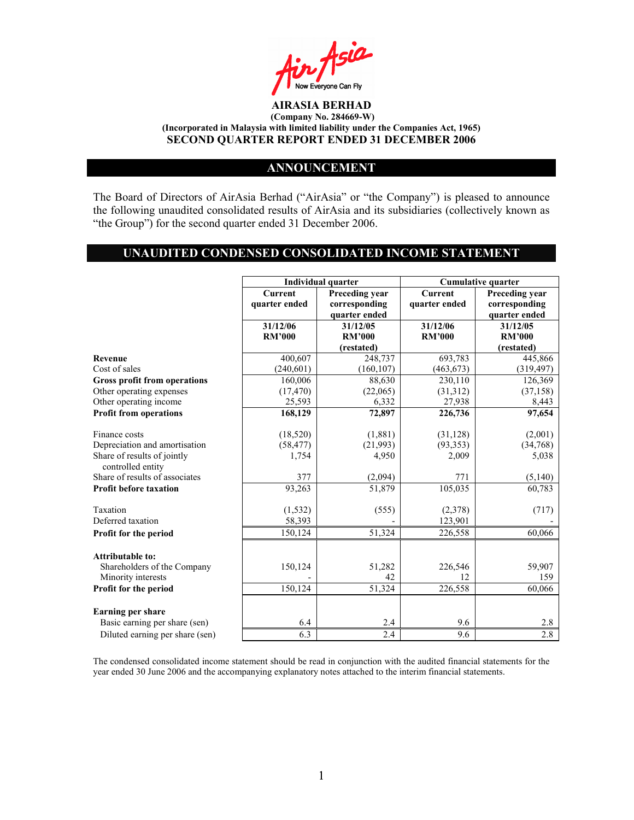

# ANNOUNCEMENT

The Board of Directors of AirAsia Berhad ("AirAsia" or "the Company") is pleased to announce the following unaudited consolidated results of AirAsia and its subsidiaries (collectively known as "the Group") for the second quarter ended 31 December 2006.

# UNAUDITED CONDENSED CONSOLIDATED INCOME STATEMENT

|                                                   |                | Individual quarter |                | <b>Cumulative quarter</b> |
|---------------------------------------------------|----------------|--------------------|----------------|---------------------------|
|                                                   | <b>Current</b> | Preceding year     | <b>Current</b> | Preceding year            |
|                                                   | quarter ended  | corresponding      | quarter ended  | corresponding             |
|                                                   |                | quarter ended      |                | quarter ended             |
|                                                   | 31/12/06       | 31/12/05           | 31/12/06       | 31/12/05                  |
|                                                   | <b>RM'000</b>  | <b>RM'000</b>      | <b>RM'000</b>  | <b>RM'000</b>             |
|                                                   |                | (restated)         |                | (restated)                |
| <b>Revenue</b>                                    | 400,607        | 248,737            | 693,783        | 445,866                   |
| Cost of sales                                     | (240, 601)     | (160, 107)         | (463, 673)     | (319, 497)                |
| <b>Gross profit from operations</b>               | 160,006        | 88,630             | 230,110        | 126,369                   |
| Other operating expenses                          | (17, 470)      | (22,065)           | (31,312)       | (37, 158)                 |
| Other operating income                            | 25,593         | 6,332              | 27,938         | 8,443                     |
| <b>Profit from operations</b>                     | 168,129        | 72,897             | 226,736        | 97,654                    |
|                                                   |                |                    |                |                           |
| Finance costs                                     | (18, 520)      | (1,881)            | (31, 128)      | (2,001)                   |
| Depreciation and amortisation                     | (58, 477)      | (21,993)           | (93, 353)      | (34,768)                  |
| Share of results of jointly<br>controlled entity  | 1,754          | 4,950              | 2,009          | 5,038                     |
| Share of results of associates                    | 377            | (2,094)            | 771            | (5,140)                   |
| <b>Profit before taxation</b>                     | 93,263         | 51,879             | 105,035        | 60,783                    |
| Taxation                                          |                |                    |                |                           |
| Deferred taxation                                 | (1, 532)       | (555)              | (2,378)        | (717)                     |
|                                                   | 58,393         |                    | 123,901        |                           |
| Profit for the period                             | 150,124        | 51,324             | 226,558        | 60,066                    |
| <b>Attributable to:</b>                           |                |                    |                |                           |
|                                                   | 150,124        | 51,282             |                | 59,907                    |
| Shareholders of the Company<br>Minority interests |                | 42                 | 226,546<br>12  | 159                       |
|                                                   | 150, 124       | 51,324             | 226,558        | 60,066                    |
| Profit for the period                             |                |                    |                |                           |
| <b>Earning per share</b>                          |                |                    |                |                           |
| Basic earning per share (sen)                     | 6.4            | 2.4                | 9.6            | 2.8                       |
| Diluted earning per share (sen)                   | 6.3            | 2.4                | 9.6            | 2.8                       |

The condensed consolidated income statement should be read in conjunction with the audited financial statements for the year ended 30 June 2006 and the accompanying explanatory notes attached to the interim financial statements.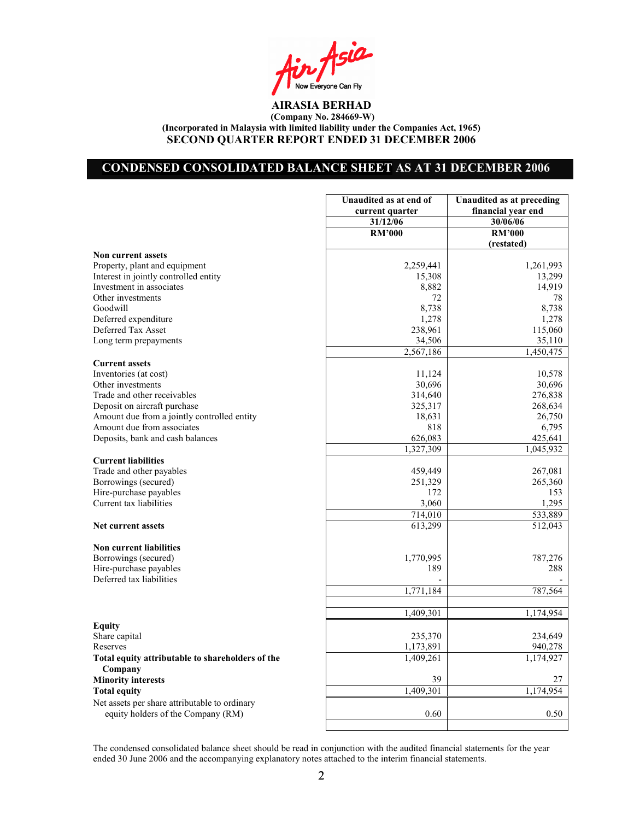Asia Now Everyone Can Fly

# CONDENSED CONSOLIDATED BALANCE SHEET AS AT 31 DECEMBER 2006

|                                                  | Unaudited as at end of | <b>Unaudited as at preceding</b> |
|--------------------------------------------------|------------------------|----------------------------------|
|                                                  | current quarter        | financial year end               |
|                                                  | 31/12/06               | 30/06/06                         |
|                                                  | <b>RM'000</b>          | <b>RM'000</b>                    |
|                                                  |                        | (restated)                       |
| <b>Non current assets</b>                        |                        |                                  |
| Property, plant and equipment                    | 2,259,441              | 1,261,993                        |
| Interest in jointly controlled entity            | 15,308                 | 13,299                           |
| Investment in associates                         | 8,882                  | 14,919                           |
| Other investments                                | 72                     | 78                               |
| Goodwill                                         | 8,738                  | 8,738                            |
| Deferred expenditure                             | 1,278                  | 1,278                            |
| Deferred Tax Asset                               | 238,961                | 115,060                          |
| Long term prepayments                            | 34,506                 | 35,110                           |
|                                                  | 2,567,186              | 1,450,475                        |
| <b>Current assets</b>                            |                        |                                  |
| Inventories (at cost)                            | 11,124                 | 10,578                           |
| Other investments                                | 30,696                 | 30,696                           |
| Trade and other receivables                      | 314,640                | 276,838                          |
| Deposit on aircraft purchase                     | 325,317                | 268,634                          |
| Amount due from a jointly controlled entity      | 18,631                 | 26,750                           |
| Amount due from associates                       | 818                    | 6,795                            |
| Deposits, bank and cash balances                 | 626,083<br>1,327,309   | 425,641                          |
|                                                  |                        | 1,045,932                        |
| <b>Current liabilities</b>                       |                        |                                  |
| Trade and other payables                         | 459,449<br>251,329     | 267,081<br>265,360               |
| Borrowings (secured)<br>Hire-purchase payables   | 172                    | 153                              |
| Current tax liabilities                          | 3,060                  | 1,295                            |
|                                                  | 714,010                | 533,889                          |
| <b>Net current assets</b>                        | 613,299                | 512,043                          |
|                                                  |                        |                                  |
| <b>Non current liabilities</b>                   |                        |                                  |
| Borrowings (secured)                             | 1,770,995              | 787,276                          |
| Hire-purchase payables                           | 189                    | 288                              |
| Deferred tax liabilities                         |                        |                                  |
|                                                  | 1,771,184              | 787,564                          |
|                                                  |                        |                                  |
|                                                  | 1,409,301              | 1,174,954                        |
| Equity                                           |                        |                                  |
| Share capital                                    | 235,370                | 234,649                          |
| Reserves                                         | 1,173,891              | 940,278                          |
| Total equity attributable to shareholders of the | 1,409,261              | 1,174,927                        |
| Company                                          |                        |                                  |
| <b>Minority interests</b>                        | 39                     | 27                               |
| <b>Total equity</b>                              | 1,409,301              | 1,174,954                        |
| Net assets per share attributable to ordinary    |                        |                                  |
| equity holders of the Company (RM)               | 0.60                   | 0.50                             |
|                                                  |                        |                                  |

The condensed consolidated balance sheet should be read in conjunction with the audited financial statements for the year ended 30 June 2006 and the accompanying explanatory notes attached to the interim financial statements.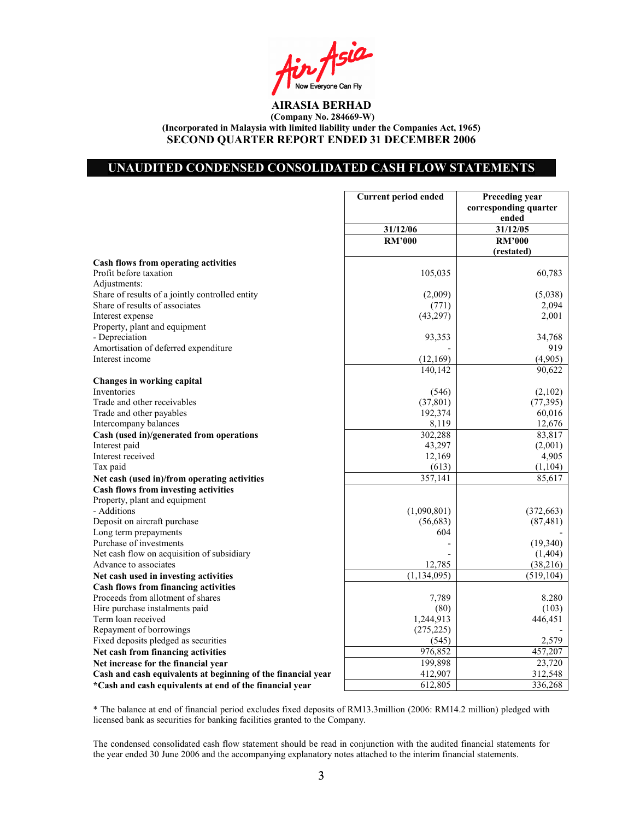Asia Now Everyone Can Fly

## UNAUDITED CONDENSED CONSOLIDATED CASH FLOW STATEMENTS

|                                                              | <b>Current period ended</b> | Preceding year<br>corresponding quarter |
|--------------------------------------------------------------|-----------------------------|-----------------------------------------|
|                                                              |                             | ended                                   |
|                                                              | 31/12/06                    | 31/12/05                                |
|                                                              | <b>RM'000</b>               | <b>RM'000</b>                           |
|                                                              |                             | (restated)                              |
| Cash flows from operating activities                         |                             |                                         |
| Profit before taxation                                       | 105,035                     | 60,783                                  |
| Adjustments:                                                 |                             |                                         |
| Share of results of a jointly controlled entity              | (2,009)                     | (5,038)                                 |
| Share of results of associates                               | (771)                       | 2,094                                   |
| Interest expense                                             | (43, 297)                   | 2,001                                   |
| Property, plant and equipment                                |                             |                                         |
| - Depreciation                                               | 93,353                      | 34,768                                  |
| Amortisation of deferred expenditure                         |                             | 919                                     |
| Interest income                                              | (12,169)                    | (4,905)                                 |
|                                                              | 140,142                     | 90,622                                  |
| Changes in working capital                                   |                             |                                         |
| Inventories                                                  | (546)                       | (2,102)                                 |
| Trade and other receivables                                  | (37, 801)                   | (77, 395)                               |
| Trade and other payables                                     | 192,374                     | 60,016                                  |
| Intercompany balances                                        | 8,119                       | 12,676                                  |
| Cash (used in)/generated from operations                     | 302,288                     | 83,817                                  |
| Interest paid                                                | 43,297                      | (2,001)                                 |
| Interest received                                            | 12,169                      | 4,905                                   |
| Tax paid                                                     | (613)                       | (1,104)                                 |
| Net cash (used in)/from operating activities                 | 357,141                     | 85,617                                  |
| <b>Cash flows from investing activities</b>                  |                             |                                         |
| Property, plant and equipment                                |                             |                                         |
| - Additions                                                  | (1,090,801)                 | (372, 663)                              |
| Deposit on aircraft purchase                                 | (56,683)                    | (87, 481)                               |
| Long term prepayments                                        | 604                         |                                         |
| Purchase of investments                                      |                             |                                         |
|                                                              |                             | (19,340)                                |
| Net cash flow on acquisition of subsidiary                   | 12,785                      | (1, 404)                                |
| Advance to associates                                        |                             | (38, 216)                               |
| Net cash used in investing activities                        | (1, 134, 095)               | (519, 104)                              |
| <b>Cash flows from financing activities</b>                  |                             |                                         |
| Proceeds from allotment of shares                            | 7,789                       | 8.280                                   |
| Hire purchase instalments paid                               | (80)                        | (103)                                   |
| Term loan received                                           | 1,244,913                   | 446,451                                 |
| Repayment of borrowings                                      | (275, 225)                  |                                         |
| Fixed deposits pledged as securities                         | (545)                       | 2,579                                   |
| Net cash from financing activities                           | 976,852                     | 457,207                                 |
| Net increase for the financial year                          | 199,898                     | 23,720                                  |
| Cash and cash equivalents at beginning of the financial year | 412,907                     | 312,548                                 |
| *Cash and cash equivalents at end of the financial year      | 612,805                     | 336,268                                 |

\* The balance at end of financial period excludes fixed deposits of RM13.3million (2006: RM14.2 million) pledged with licensed bank as securities for banking facilities granted to the Company.

The condensed consolidated cash flow statement should be read in conjunction with the audited financial statements for the year ended 30 June 2006 and the accompanying explanatory notes attached to the interim financial statements.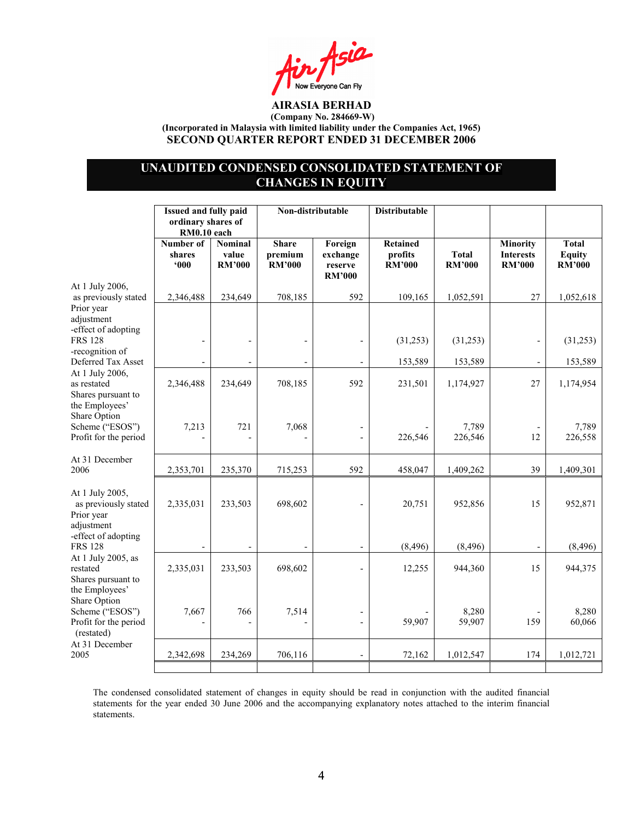$A$ sia Now Everyone Can Fly

# UNAUDITED CONDENSED CONSOLIDATED STATEMENT OF CHANGES IN EQUITY

|                                                                                                            | Issued and fully paid<br>ordinary shares of |                                          | Non-distributable                        |                                                 | <b>Distributable</b>                        |                               |                                               |                                                |
|------------------------------------------------------------------------------------------------------------|---------------------------------------------|------------------------------------------|------------------------------------------|-------------------------------------------------|---------------------------------------------|-------------------------------|-----------------------------------------------|------------------------------------------------|
|                                                                                                            | RM0.10 each<br>Number of<br>shares<br>000   | <b>Nominal</b><br>value<br><b>RM'000</b> | <b>Share</b><br>premium<br><b>RM'000</b> | Foreign<br>exchange<br>reserve<br><b>RM'000</b> | <b>Retained</b><br>profits<br><b>RM'000</b> | <b>Total</b><br><b>RM'000</b> | Minority<br><b>Interests</b><br><b>RM'000</b> | <b>Total</b><br><b>Equity</b><br><b>RM'000</b> |
| At 1 July 2006,<br>as previously stated                                                                    | 2,346,488                                   | 234,649                                  | 708,185                                  | 592                                             | 109,165                                     | 1,052,591                     | 27                                            | 1,052,618                                      |
| Prior year<br>adjustment<br>-effect of adopting<br><b>FRS 128</b><br>-recognition of<br>Deferred Tax Asset | $\overline{\phantom{a}}$                    | $\overline{a}$                           |                                          |                                                 | (31,253)<br>153,589                         | (31,253)<br>153,589           | $\overline{\phantom{a}}$                      | (31,253)<br>153,589                            |
| At 1 July 2006,<br>as restated<br>Shares pursuant to<br>the Employees'                                     | 2,346,488                                   | 234,649                                  | 708,185                                  | 592                                             | 231,501                                     | 1,174,927                     | 27                                            | 1,174,954                                      |
| Share Option<br>Scheme ("ESOS")<br>Profit for the period                                                   | 7,213                                       | 721<br>$\overline{a}$                    | 7,068                                    | $\frac{1}{2}$                                   | 226,546                                     | 7,789<br>226,546              | 12                                            | 7,789<br>226,558                               |
| At 31 December<br>2006                                                                                     | 2,353,701                                   | 235,370                                  | 715,253                                  | 592                                             | 458,047                                     | 1,409,262                     | 39                                            | 1,409,301                                      |
| At 1 July 2005,<br>as previously stated<br>Prior year<br>adjustment<br>-effect of adopting                 | 2,335,031                                   | 233,503                                  | 698,602                                  |                                                 | 20,751                                      | 952,856                       | 15                                            | 952,871                                        |
| <b>FRS 128</b>                                                                                             |                                             |                                          |                                          |                                                 | (8, 496)                                    | (8, 496)                      |                                               | (8, 496)                                       |
| At 1 July 2005, as<br>restated<br>Shares pursuant to<br>the Employees'                                     | 2,335,031                                   | 233,503                                  | 698,602                                  |                                                 | 12,255                                      | 944,360                       | 15                                            | 944,375                                        |
| Share Option<br>Scheme ("ESOS")<br>Profit for the period<br>(restated)                                     | 7,667                                       | 766<br>$\overline{\phantom{a}}$          | 7,514                                    |                                                 | 59,907                                      | 8,280<br>59,907               | 159                                           | 8,280<br>60,066                                |
| At 31 December<br>2005                                                                                     | 2,342,698                                   | 234,269                                  | 706,116                                  |                                                 | 72,162                                      | 1,012,547                     | 174                                           | 1,012,721                                      |
|                                                                                                            |                                             |                                          |                                          |                                                 |                                             |                               |                                               |                                                |

The condensed consolidated statement of changes in equity should be read in conjunction with the audited financial statements for the year ended 30 June 2006 and the accompanying explanatory notes attached to the interim financial statements.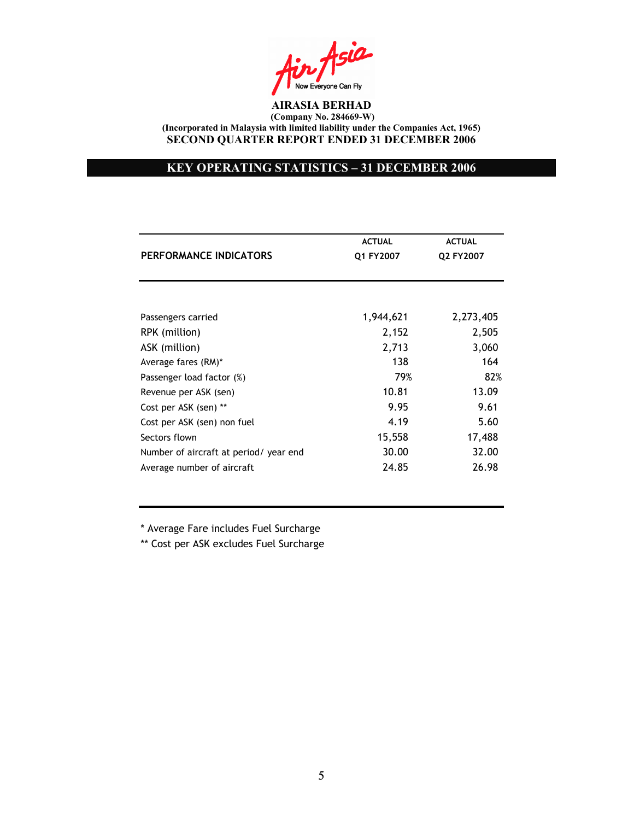$A$ sia Now Everyone Can Fly

# KEY OPERATING STATISTICS – 31 DECEMBER 2006

|                                        | <b>ACTUAL</b> | <b>ACTUAL</b> |
|----------------------------------------|---------------|---------------|
| PERFORMANCE INDICATORS                 | Q1 FY2007     | Q2 FY2007     |
|                                        |               |               |
| Passengers carried                     | 1,944,621     | 2,273,405     |
| RPK (million)                          | 2,152         | 2,505         |
| ASK (million)                          | 2,713         | 3,060         |
| Average fares (RM)*                    | 138           | 164           |
| Passenger load factor (%)              | 79%           | 82%           |
| Revenue per ASK (sen)                  | 10.81         | 13.09         |
| Cost per ASK (sen) **                  | 9.95          | 9.61          |
| Cost per ASK (sen) non fuel            | 4.19          | 5.60          |
| Sectors flown                          | 15,558        | 17,488        |
| Number of aircraft at period/ year end | 30.00         | 32.00         |
| Average number of aircraft             | 24.85         | 26.98         |

\* Average Fare includes Fuel Surcharge

\*\* Cost per ASK excludes Fuel Surcharge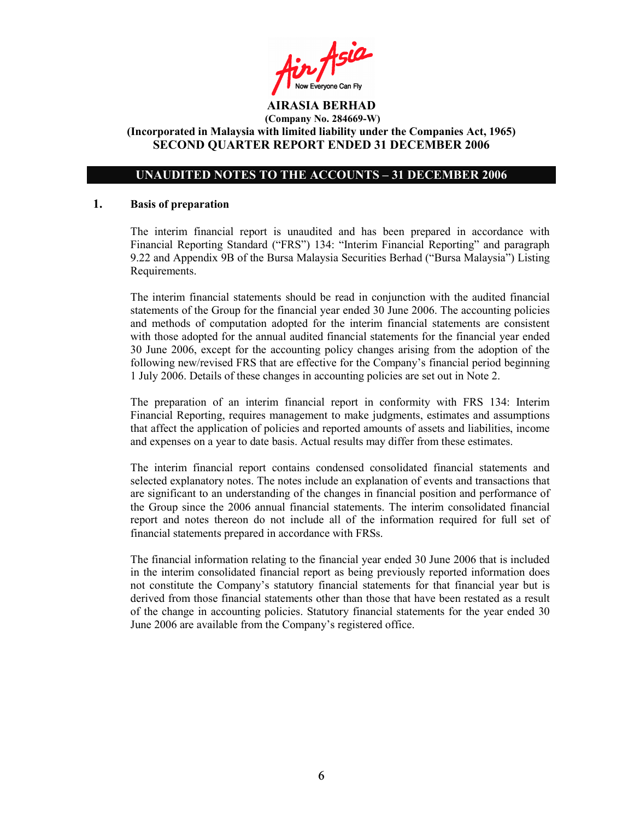Ain Asia

# UNAUDITED NOTES TO THE ACCOUNTS – 31 DECEMBER 2006

#### 1. Basis of preparation

The interim financial report is unaudited and has been prepared in accordance with Financial Reporting Standard ("FRS") 134: "Interim Financial Reporting" and paragraph 9.22 and Appendix 9B of the Bursa Malaysia Securities Berhad ("Bursa Malaysia") Listing Requirements.

The interim financial statements should be read in conjunction with the audited financial statements of the Group for the financial year ended 30 June 2006. The accounting policies and methods of computation adopted for the interim financial statements are consistent with those adopted for the annual audited financial statements for the financial year ended 30 June 2006, except for the accounting policy changes arising from the adoption of the following new/revised FRS that are effective for the Company's financial period beginning 1 July 2006. Details of these changes in accounting policies are set out in Note 2.

The preparation of an interim financial report in conformity with FRS 134: Interim Financial Reporting, requires management to make judgments, estimates and assumptions that affect the application of policies and reported amounts of assets and liabilities, income and expenses on a year to date basis. Actual results may differ from these estimates.

The interim financial report contains condensed consolidated financial statements and selected explanatory notes. The notes include an explanation of events and transactions that are significant to an understanding of the changes in financial position and performance of the Group since the 2006 annual financial statements. The interim consolidated financial report and notes thereon do not include all of the information required for full set of financial statements prepared in accordance with FRSs.

The financial information relating to the financial year ended 30 June 2006 that is included in the interim consolidated financial report as being previously reported information does not constitute the Company's statutory financial statements for that financial year but is derived from those financial statements other than those that have been restated as a result of the change in accounting policies. Statutory financial statements for the year ended 30 June 2006 are available from the Company's registered office.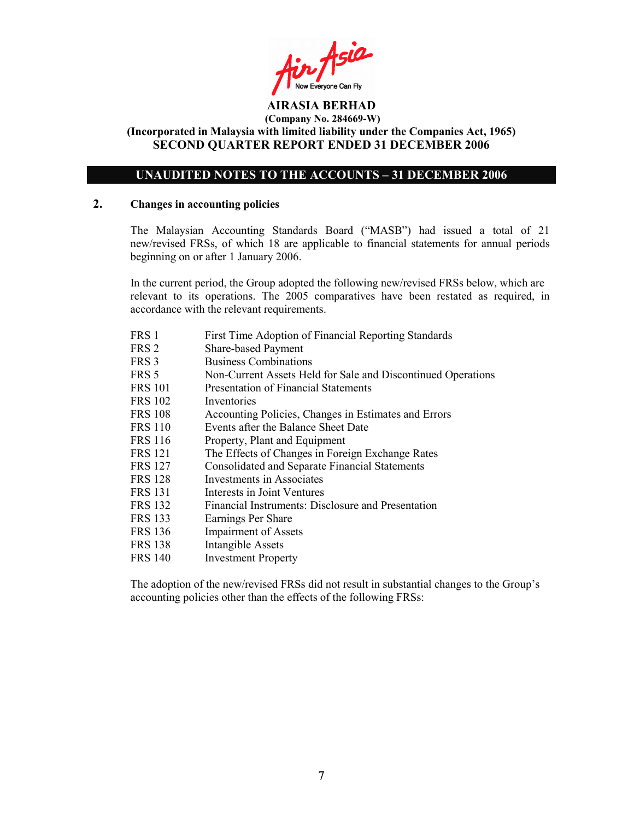Fin Asia

# UNAUDITED NOTES TO THE ACCOUNTS – 31 DECEMBER 2006

#### 2. Changes in accounting policies

The Malaysian Accounting Standards Board ("MASB") had issued a total of 21 new/revised FRSs, of which 18 are applicable to financial statements for annual periods beginning on or after 1 January 2006.

In the current period, the Group adopted the following new/revised FRSs below, which are relevant to its operations. The 2005 comparatives have been restated as required, in accordance with the relevant requirements.

- FRS 1 First Time Adoption of Financial Reporting Standards
- FRS 2 Share-based Payment
- FRS 3 Business Combinations
- FRS 5 Non-Current Assets Held for Sale and Discontinued Operations
- FRS 101 Presentation of Financial Statements
- FRS 102 Inventories
- FRS 108 Accounting Policies, Changes in Estimates and Errors
- FRS 110 Events after the Balance Sheet Date
- FRS 116 Property, Plant and Equipment
- FRS 121 The Effects of Changes in Foreign Exchange Rates
- FRS 127 Consolidated and Separate Financial Statements
- FRS 128 Investments in Associates
- FRS 131 Interests in Joint Ventures
- FRS 132 Financial Instruments: Disclosure and Presentation
- FRS 133 Earnings Per Share
- FRS 136 Impairment of Assets
- FRS 138 Intangible Assets
- FRS 140 Investment Property

The adoption of the new/revised FRSs did not result in substantial changes to the Group's accounting policies other than the effects of the following FRSs: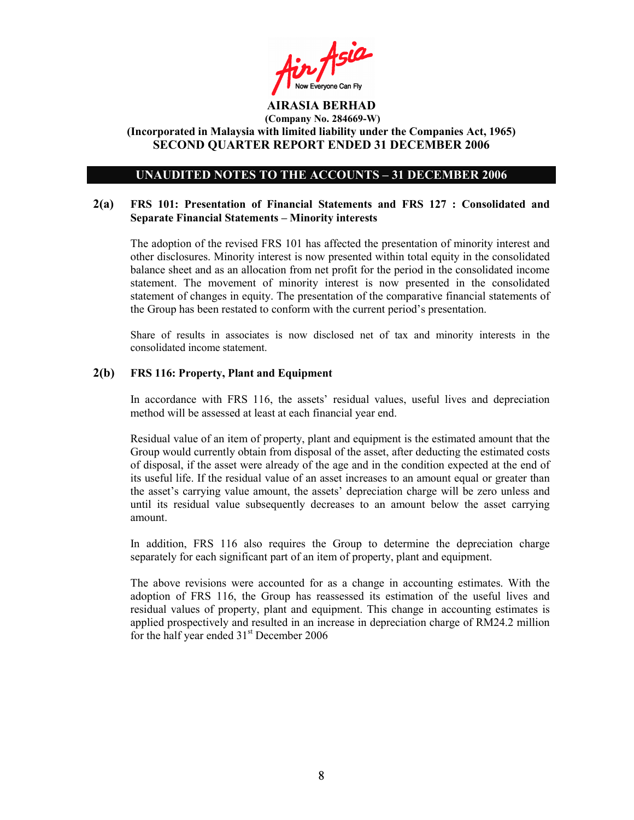Air Asia

### UNAUDITED NOTES TO THE ACCOUNTS – 31 DECEMBER 2006

## 2(a) FRS 101: Presentation of Financial Statements and FRS 127 : Consolidated and Separate Financial Statements – Minority interests

The adoption of the revised FRS 101 has affected the presentation of minority interest and other disclosures. Minority interest is now presented within total equity in the consolidated balance sheet and as an allocation from net profit for the period in the consolidated income statement. The movement of minority interest is now presented in the consolidated statement of changes in equity. The presentation of the comparative financial statements of the Group has been restated to conform with the current period's presentation.

Share of results in associates is now disclosed net of tax and minority interests in the consolidated income statement.

### 2(b) FRS 116: Property, Plant and Equipment

In accordance with FRS 116, the assets' residual values, useful lives and depreciation method will be assessed at least at each financial year end.

Residual value of an item of property, plant and equipment is the estimated amount that the Group would currently obtain from disposal of the asset, after deducting the estimated costs of disposal, if the asset were already of the age and in the condition expected at the end of its useful life. If the residual value of an asset increases to an amount equal or greater than the asset's carrying value amount, the assets' depreciation charge will be zero unless and until its residual value subsequently decreases to an amount below the asset carrying amount.

In addition, FRS 116 also requires the Group to determine the depreciation charge separately for each significant part of an item of property, plant and equipment.

The above revisions were accounted for as a change in accounting estimates. With the adoption of FRS 116, the Group has reassessed its estimation of the useful lives and residual values of property, plant and equipment. This change in accounting estimates is applied prospectively and resulted in an increase in depreciation charge of RM24.2 million for the half year ended 31<sup>st</sup> December 2006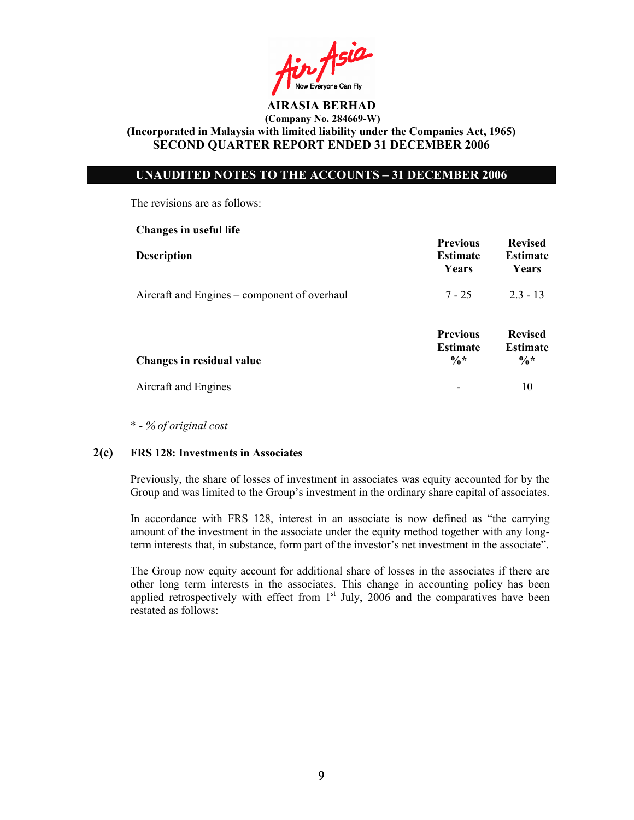in Asia

# UNAUDITED NOTES TO THE ACCOUNTS – 31 DECEMBER 2006

The revisions are as follows:

| Changes in useful life                       |                                                       |                                                      |
|----------------------------------------------|-------------------------------------------------------|------------------------------------------------------|
| <b>Description</b>                           | <b>Previous</b><br><b>Estimate</b><br>Years           | <b>Revised</b><br><b>Estimate</b><br>Years           |
| Aircraft and Engines – component of overhaul | $7 - 25$                                              | $2.3 - 13$                                           |
| Changes in residual value                    | <b>Previous</b><br><b>Estimate</b><br>$\frac{0}{6}$ * | <b>Revised</b><br><b>Estimate</b><br>$\frac{0}{6}$ * |
| Aircraft and Engines                         | -                                                     | 10                                                   |

\* - % of original cost

### 2(c) FRS 128: Investments in Associates

Previously, the share of losses of investment in associates was equity accounted for by the Group and was limited to the Group's investment in the ordinary share capital of associates.

In accordance with FRS 128, interest in an associate is now defined as "the carrying amount of the investment in the associate under the equity method together with any longterm interests that, in substance, form part of the investor's net investment in the associate".

The Group now equity account for additional share of losses in the associates if there are other long term interests in the associates. This change in accounting policy has been applied retrospectively with effect from 1<sup>st</sup> July, 2006 and the comparatives have been restated as follows: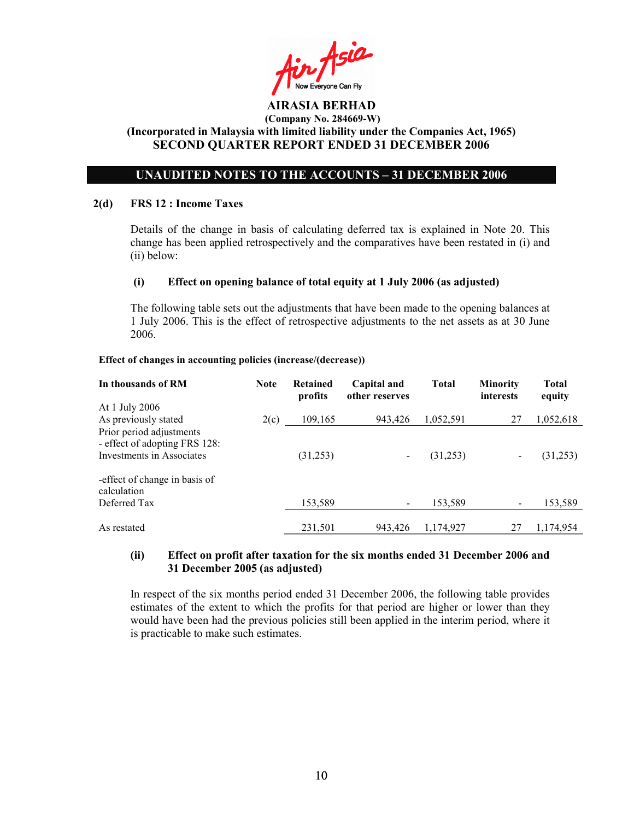in Asia

# UNAUDITED NOTES TO THE ACCOUNTS – 31 DECEMBER 2006

#### 2(d) FRS 12 : Income Taxes

Details of the change in basis of calculating deferred tax is explained in Note 20. This change has been applied retrospectively and the comparatives have been restated in (i) and (ii) below:

### (i) Effect on opening balance of total equity at 1 July 2006 (as adjusted)

The following table sets out the adjustments that have been made to the opening balances at 1 July 2006. This is the effect of retrospective adjustments to the net assets as at 30 June 2006.

#### Effect of changes in accounting policies (increase/(decrease))

| In thousands of RM                                                                     | <b>Note</b> | Retained<br>profits | Capital and<br>other reserves | <b>Total</b> | <b>Minority</b><br>interests | <b>Total</b><br>equity |
|----------------------------------------------------------------------------------------|-------------|---------------------|-------------------------------|--------------|------------------------------|------------------------|
| At 1 July 2006                                                                         |             |                     |                               |              |                              |                        |
| As previously stated                                                                   | 2(c)        | 109,165             | 943,426                       | 1,052,591    | 27                           | 1,052,618              |
| Prior period adjustments<br>- effect of adopting FRS 128:<br>Investments in Associates |             | (31,253)            |                               | (31,253)     |                              | (31,253)               |
| -effect of change in basis of<br>calculation<br>Deferred Tax                           |             | 153,589             |                               | 153,589      |                              | 153,589                |
| As restated                                                                            |             | 231,501             | 943.426                       | 1,174,927    | 27                           | 1,174,954              |

### (ii) Effect on profit after taxation for the six months ended 31 December 2006 and 31 December 2005 (as adjusted)

In respect of the six months period ended 31 December 2006, the following table provides estimates of the extent to which the profits for that period are higher or lower than they would have been had the previous policies still been applied in the interim period, where it is practicable to make such estimates.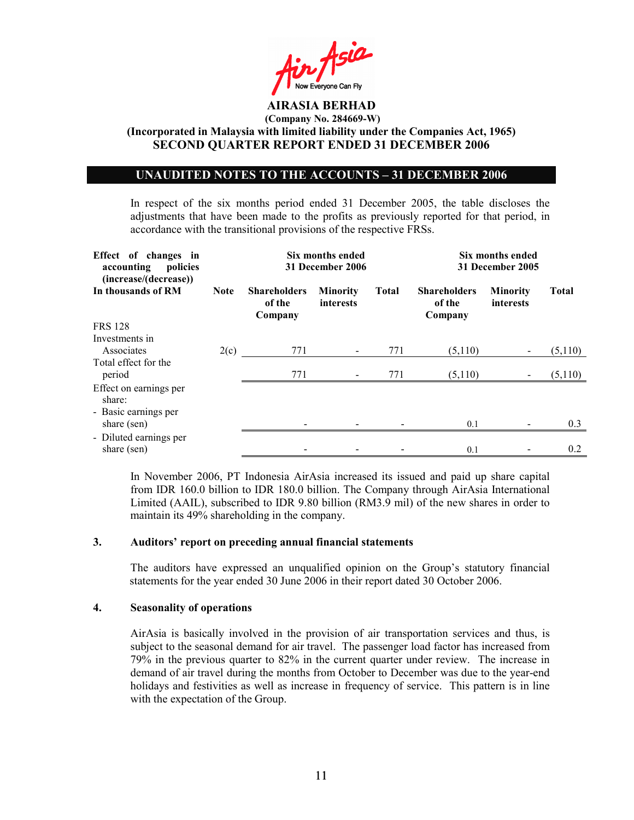

## UNAUDITED NOTES TO THE ACCOUNTS – 31 DECEMBER 2006

In respect of the six months period ended 31 December 2005, the table discloses the adjustments that have been made to the profits as previously reported for that period, in accordance with the transitional provisions of the respective FRSs.

| Effect of changes in<br>accounting<br>policies |             | Six months ended<br>31 December 2006     | Six months ended<br>31 December 2005 |              |                                          |                              |              |
|------------------------------------------------|-------------|------------------------------------------|--------------------------------------|--------------|------------------------------------------|------------------------------|--------------|
| (increase/(decrease))<br>In thousands of RM    | <b>Note</b> | <b>Shareholders</b><br>of the<br>Company | <b>Minority</b><br>interests         | <b>Total</b> | <b>Shareholders</b><br>of the<br>Company | <b>Minority</b><br>interests | <b>Total</b> |
| <b>FRS 128</b>                                 |             |                                          |                                      |              |                                          |                              |              |
| Investments in<br>Associates                   | 2(c)        | 771                                      |                                      | 771          | (5,110)                                  |                              | (5,110)      |
| Total effect for the<br>period                 |             | 771                                      | $\overline{\phantom{a}}$             | 771          | (5,110)                                  |                              | (5,110)      |
| Effect on earnings per<br>share:               |             |                                          |                                      |              |                                          |                              |              |
| - Basic earnings per<br>share (sen)            |             |                                          |                                      |              | 0.1                                      |                              | 0.3          |
| - Diluted earnings per<br>share (sen)          |             |                                          |                                      |              | 0.1                                      |                              | 0.2          |

In November 2006, PT Indonesia AirAsia increased its issued and paid up share capital from IDR 160.0 billion to IDR 180.0 billion. The Company through AirAsia International Limited (AAIL), subscribed to IDR 9.80 billion (RM3.9 mil) of the new shares in order to maintain its 49% shareholding in the company.

### 3. Auditors' report on preceding annual financial statements

The auditors have expressed an unqualified opinion on the Group's statutory financial statements for the year ended 30 June 2006 in their report dated 30 October 2006.

#### 4. Seasonality of operations

AirAsia is basically involved in the provision of air transportation services and thus, is subject to the seasonal demand for air travel. The passenger load factor has increased from 79% in the previous quarter to 82% in the current quarter under review. The increase in demand of air travel during the months from October to December was due to the year-end holidays and festivities as well as increase in frequency of service. This pattern is in line with the expectation of the Group.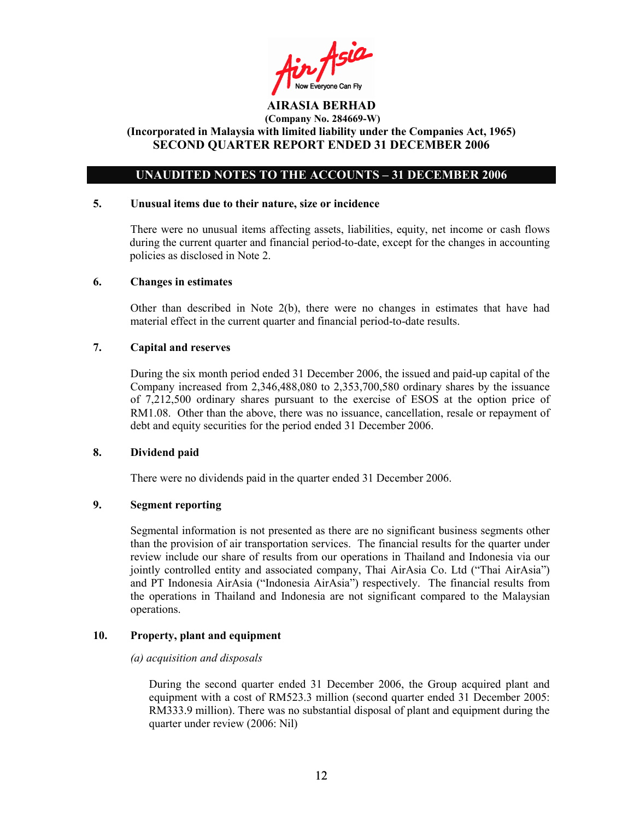Ain Asia

# UNAUDITED NOTES TO THE ACCOUNTS – 31 DECEMBER 2006

#### 5. Unusual items due to their nature, size or incidence

 There were no unusual items affecting assets, liabilities, equity, net income or cash flows during the current quarter and financial period-to-date, except for the changes in accounting policies as disclosed in Note 2.

#### 6. Changes in estimates

Other than described in Note  $2(b)$ , there were no changes in estimates that have had material effect in the current quarter and financial period-to-date results.

### 7. Capital and reserves

During the six month period ended 31 December 2006, the issued and paid-up capital of the Company increased from 2,346,488,080 to 2,353,700,580 ordinary shares by the issuance of 7,212,500 ordinary shares pursuant to the exercise of ESOS at the option price of RM1.08. Other than the above, there was no issuance, cancellation, resale or repayment of debt and equity securities for the period ended 31 December 2006.

### 8. Dividend paid

There were no dividends paid in the quarter ended 31 December 2006.

### 9. Segment reporting

Segmental information is not presented as there are no significant business segments other than the provision of air transportation services. The financial results for the quarter under review include our share of results from our operations in Thailand and Indonesia via our jointly controlled entity and associated company, Thai AirAsia Co. Ltd ("Thai AirAsia") and PT Indonesia AirAsia ("Indonesia AirAsia") respectively. The financial results from the operations in Thailand and Indonesia are not significant compared to the Malaysian operations.

#### 10. Property, plant and equipment

#### (a) acquisition and disposals

During the second quarter ended 31 December 2006, the Group acquired plant and equipment with a cost of RM523.3 million (second quarter ended 31 December 2005: RM333.9 million). There was no substantial disposal of plant and equipment during the quarter under review (2006: Nil)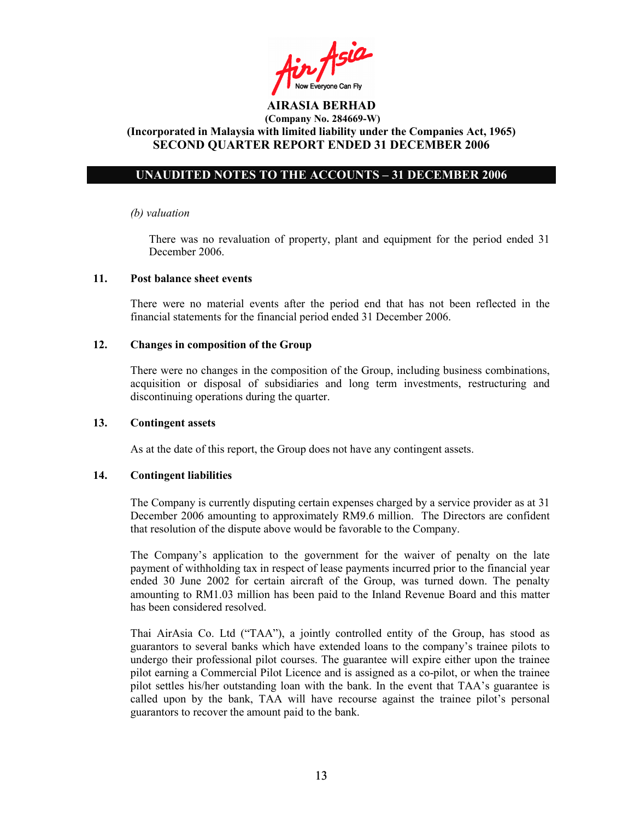Ain Asia

# UNAUDITED NOTES TO THE ACCOUNTS – 31 DECEMBER 2006

#### (b) valuation

 There was no revaluation of property, plant and equipment for the period ended 31 December 2006.

### 11. Post balance sheet events

There were no material events after the period end that has not been reflected in the financial statements for the financial period ended 31 December 2006.

### 12. Changes in composition of the Group

There were no changes in the composition of the Group, including business combinations, acquisition or disposal of subsidiaries and long term investments, restructuring and discontinuing operations during the quarter.

#### 13. Contingent assets

As at the date of this report, the Group does not have any contingent assets.

#### 14. Contingent liabilities

The Company is currently disputing certain expenses charged by a service provider as at 31 December 2006 amounting to approximately RM9.6 million. The Directors are confident that resolution of the dispute above would be favorable to the Company.

The Company's application to the government for the waiver of penalty on the late payment of withholding tax in respect of lease payments incurred prior to the financial year ended 30 June 2002 for certain aircraft of the Group, was turned down. The penalty amounting to RM1.03 million has been paid to the Inland Revenue Board and this matter has been considered resolved.

Thai AirAsia Co. Ltd ("TAA"), a jointly controlled entity of the Group, has stood as guarantors to several banks which have extended loans to the company's trainee pilots to undergo their professional pilot courses. The guarantee will expire either upon the trainee pilot earning a Commercial Pilot Licence and is assigned as a co-pilot, or when the trainee pilot settles his/her outstanding loan with the bank. In the event that TAA's guarantee is called upon by the bank, TAA will have recourse against the trainee pilot's personal guarantors to recover the amount paid to the bank.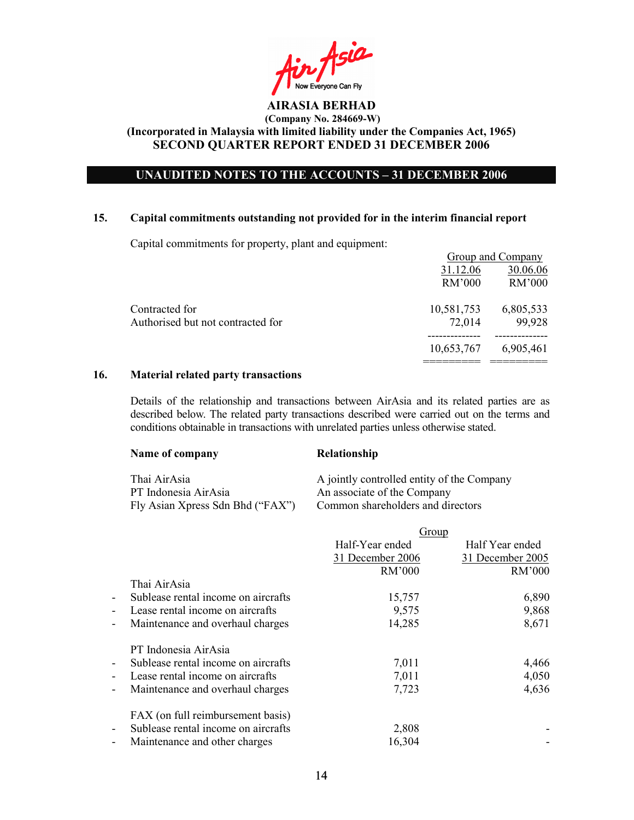in Asia Now Everyone Can Fly

# UNAUDITED NOTES TO THE ACCOUNTS – 31 DECEMBER 2006

### 15. Capital commitments outstanding not provided for in the interim financial report

Capital commitments for property, plant and equipment:

|                                   |            | <b>Group and Company</b> |
|-----------------------------------|------------|--------------------------|
|                                   | 31.12.06   | 30.06.06                 |
|                                   | RM'000     | RM'000                   |
| Contracted for                    | 10,581,753 | 6,805,533                |
| Authorised but not contracted for | 72,014     | 99,928                   |
|                                   | 10,653,767 | 6,905,461                |
|                                   |            |                          |

# 16. Material related party transactions

Details of the relationship and transactions between AirAsia and its related parties are as described below. The related party transactions described were carried out on the terms and conditions obtainable in transactions with unrelated parties unless otherwise stated.

| Name of company                      | Relationship                                                              |
|--------------------------------------|---------------------------------------------------------------------------|
| Thai AirAsia<br>PT Indonesia AirAsia | A jointly controlled entity of the Company<br>An associate of the Company |
| Fly Asian Xpress Sdn Bhd ("FAX")     | Common shareholders and directors                                         |

|                                                                 | Group            |                  |
|-----------------------------------------------------------------|------------------|------------------|
|                                                                 | Half-Year ended  | Half Year ended  |
|                                                                 | 31 December 2006 | 31 December 2005 |
|                                                                 | <b>RM'000</b>    | RM'000           |
| Thai AirAsia                                                    |                  |                  |
| Sublease rental income on aircrafts<br>$\blacksquare$           | 15,757           | 6,890            |
| Lease rental income on aircrafts<br>$\blacksquare$              | 9,575            | 9,868            |
| Maintenance and overhaul charges<br>$\overline{\phantom{a}}$    | 14,285           | 8,671            |
| PT Indonesia AirAsia                                            |                  |                  |
| Sublease rental income on aircrafts<br>$\overline{\phantom{a}}$ | 7,011            | 4,466            |
| Lease rental income on aircrafts<br>$\overline{\phantom{a}}$    | 7,011            | 4,050            |
| Maintenance and overhaul charges<br>$\overline{\phantom{a}}$    | 7,723            | 4,636            |
| FAX (on full reimbursement basis)                               |                  |                  |
| Sublease rental income on aircrafts<br>$\overline{\phantom{a}}$ | 2,808            |                  |
| Maintenance and other charges<br>$\overline{\phantom{a}}$       | 16,304           |                  |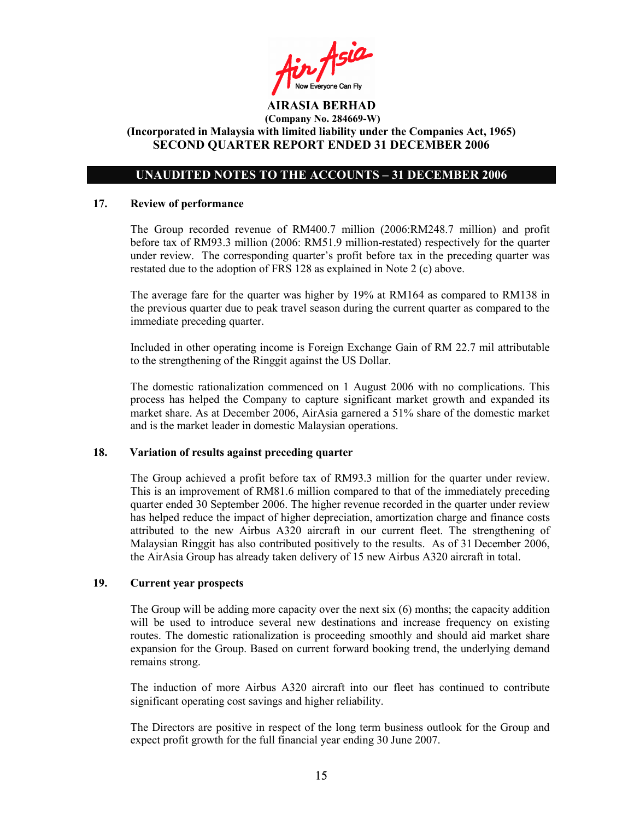Ain Asia

# UNAUDITED NOTES TO THE ACCOUNTS – 31 DECEMBER 2006

#### 17. Review of performance

The Group recorded revenue of RM400.7 million (2006:RM248.7 million) and profit before tax of RM93.3 million (2006: RM51.9 million-restated) respectively for the quarter under review. The corresponding quarter's profit before tax in the preceding quarter was restated due to the adoption of FRS 128 as explained in Note 2 (c) above.

The average fare for the quarter was higher by 19% at RM164 as compared to RM138 in the previous quarter due to peak travel season during the current quarter as compared to the immediate preceding quarter.

Included in other operating income is Foreign Exchange Gain of RM 22.7 mil attributable to the strengthening of the Ringgit against the US Dollar.

The domestic rationalization commenced on 1 August 2006 with no complications. This process has helped the Company to capture significant market growth and expanded its market share. As at December 2006, AirAsia garnered a 51% share of the domestic market and is the market leader in domestic Malaysian operations.

# 18. Variation of results against preceding quarter

The Group achieved a profit before tax of RM93.3 million for the quarter under review. This is an improvement of RM81.6 million compared to that of the immediately preceding quarter ended 30 September 2006. The higher revenue recorded in the quarter under review has helped reduce the impact of higher depreciation, amortization charge and finance costs attributed to the new Airbus A320 aircraft in our current fleet. The strengthening of Malaysian Ringgit has also contributed positively to the results. As of 31 December 2006, the AirAsia Group has already taken delivery of 15 new Airbus A320 aircraft in total.

# 19. Current year prospects

The Group will be adding more capacity over the next six (6) months; the capacity addition will be used to introduce several new destinations and increase frequency on existing routes. The domestic rationalization is proceeding smoothly and should aid market share expansion for the Group. Based on current forward booking trend, the underlying demand remains strong.

The induction of more Airbus A320 aircraft into our fleet has continued to contribute significant operating cost savings and higher reliability.

The Directors are positive in respect of the long term business outlook for the Group and expect profit growth for the full financial year ending 30 June 2007.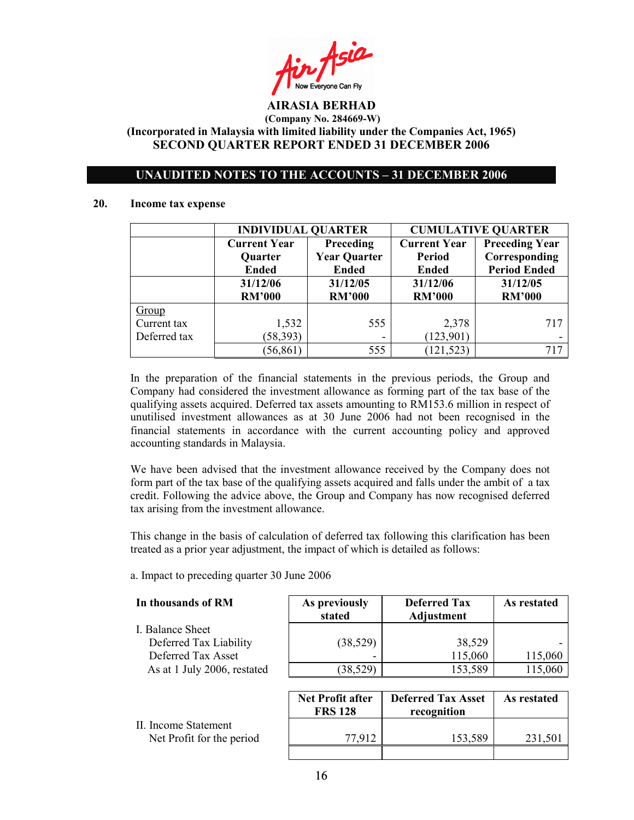in Asia Now Everyone Can Fly

# UNAUDITED NOTES TO THE ACCOUNTS – 31 DECEMBER 2006

#### 20. Income tax expense

|              | <b>INDIVIDUAL QUARTER</b> |                     | <b>CUMULATIVE QUARTER</b> |                       |  |
|--------------|---------------------------|---------------------|---------------------------|-----------------------|--|
|              | <b>Current Year</b>       | Preceding           | <b>Current Year</b>       | <b>Preceding Year</b> |  |
|              | Quarter                   | <b>Year Quarter</b> | Period                    | Corresponding         |  |
|              | <b>Ended</b>              | <b>Ended</b>        | <b>Ended</b>              | <b>Period Ended</b>   |  |
|              | 31/12/06                  | 31/12/05            | 31/12/06                  | 31/12/05              |  |
|              | <b>RM'000</b>             | <b>RM'000</b>       | <b>RM'000</b>             | <b>RM'000</b>         |  |
| Group        |                           |                     |                           |                       |  |
| Current tax  | 1,532                     | 555                 | 2,378                     | 717                   |  |
| Deferred tax | (58, 393)                 |                     | (123,901)                 |                       |  |
|              | (56, 861)                 | 555                 | 121,523                   | 717                   |  |

In the preparation of the financial statements in the previous periods, the Group and Company had considered the investment allowance as forming part of the tax base of the qualifying assets acquired. Deferred tax assets amounting to RM153.6 million in respect of unutilised investment allowances as at 30 June 2006 had not been recognised in the financial statements in accordance with the current accounting policy and approved accounting standards in Malaysia.

We have been advised that the investment allowance received by the Company does not form part of the tax base of the qualifying assets acquired and falls under the ambit of a tax credit. Following the advice above, the Group and Company has now recognised deferred tax arising from the investment allowance.

This change in the basis of calculation of deferred tax following this clarification has been treated as a prior year adjustment, the impact of which is detailed as follows:

a. Impact to preceding quarter 30 June 2006

| In thousands of RM          | As previously<br>stated | <b>Deferred Tax</b><br>Adjustment | As restated |
|-----------------------------|-------------------------|-----------------------------------|-------------|
| I. Balance Sheet            |                         |                                   |             |
| Deferred Tax Liability      | (38, 529)               | 38,529                            |             |
| Deferred Tax Asset          |                         | 115,060                           | 115,060     |
| As at 1 July 2006, restated | (38, 529)               | 153,589                           | 115,060     |

|                                                   | <b>Net Profit after</b><br><b>FRS 128</b> | <b>Deferred Tax Asset</b><br>recognition | As restated |
|---------------------------------------------------|-------------------------------------------|------------------------------------------|-------------|
| II. Income Statement<br>Net Profit for the period | 77.912                                    | 153,589                                  | 231,501     |
|                                                   |                                           |                                          |             |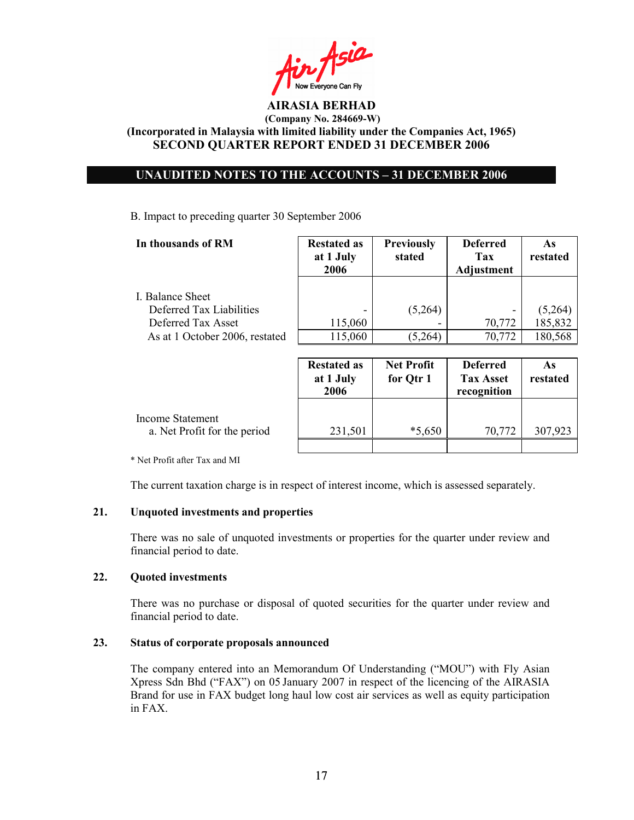Fin Asia

# UNAUDITED NOTES TO THE ACCOUNTS – 31 DECEMBER 2006

B. Impact to preceding quarter 30 September 2006

| In thousands of RM                           | <b>Restated as</b><br>at 1 July<br>2006 | <b>Previously</b><br>stated | <b>Deferred</b><br>Tax<br>Adjustment | As<br>restated |
|----------------------------------------------|-----------------------------------------|-----------------------------|--------------------------------------|----------------|
| I. Balance Sheet<br>Deferred Tax Liabilities |                                         | (5,264)                     |                                      | (5,264)        |
| Deferred Tax Asset                           | 115,060                                 |                             | 70,772                               | 185,832        |
| As at 1 October 2006, restated               | 115,060                                 | (5,264)                     | 70,772                               | 180,568        |
|                                              |                                         |                             |                                      |                |

|                                                         | <b>Restated as</b><br>at 1 July<br>2006 | <b>Net Profit</b><br>for Qtr 1 | <b>Deferred</b><br><b>Tax Asset</b><br>recognition | As<br>restated |
|---------------------------------------------------------|-----------------------------------------|--------------------------------|----------------------------------------------------|----------------|
| <b>Income Statement</b><br>a. Net Profit for the period | 231,501                                 | $*5,650$                       | 70,772                                             | 307,923        |
|                                                         |                                         |                                |                                                    |                |

\* Net Profit after Tax and MI

The current taxation charge is in respect of interest income, which is assessed separately.

# 21. Unquoted investments and properties

There was no sale of unquoted investments or properties for the quarter under review and financial period to date.

## 22. Quoted investments

There was no purchase or disposal of quoted securities for the quarter under review and financial period to date.

# 23. Status of corporate proposals announced

The company entered into an Memorandum Of Understanding ("MOU") with Fly Asian Xpress Sdn Bhd ("FAX") on 05 January 2007 in respect of the licencing of the AIRASIA Brand for use in FAX budget long haul low cost air services as well as equity participation in FAX.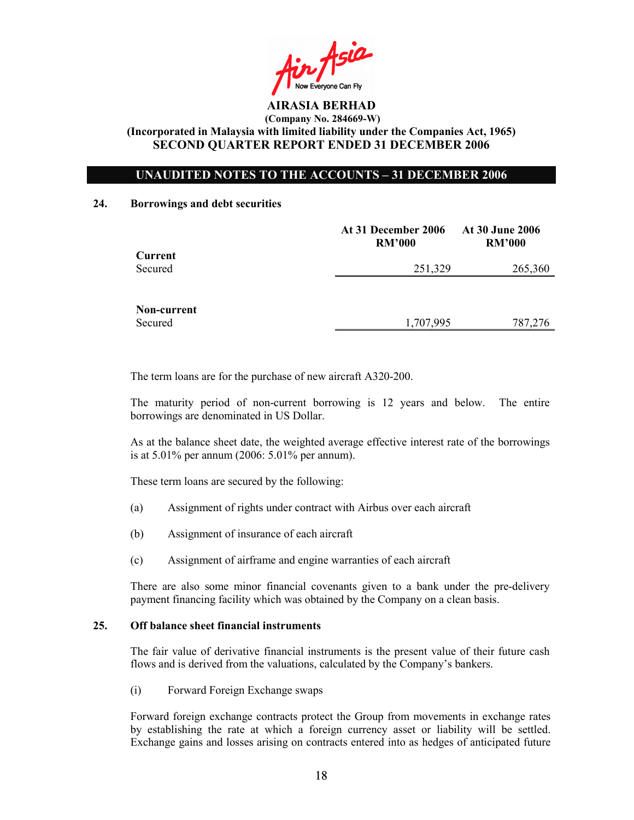Ain Asia

# UNAUDITED NOTES TO THE ACCOUNTS – 31 DECEMBER 2006

#### 24. Borrowings and debt securities

|             | At 31 December 2006<br><b>RM'000</b> | At 30 June 2006<br><b>RM'000</b> |
|-------------|--------------------------------------|----------------------------------|
| Current     |                                      |                                  |
| Secured     | 251,329                              | 265,360                          |
|             |                                      |                                  |
| Non-current |                                      |                                  |
| Secured     | 1,707,995                            | 787,276                          |

The term loans are for the purchase of new aircraft A320-200.

The maturity period of non-current borrowing is 12 years and below. The entire borrowings are denominated in US Dollar.

As at the balance sheet date, the weighted average effective interest rate of the borrowings is at 5.01% per annum (2006: 5.01% per annum).

These term loans are secured by the following:

- (a) Assignment of rights under contract with Airbus over each aircraft
- (b) Assignment of insurance of each aircraft
- (c) Assignment of airframe and engine warranties of each aircraft

There are also some minor financial covenants given to a bank under the pre-delivery payment financing facility which was obtained by the Company on a clean basis.

## 25. Off balance sheet financial instruments

The fair value of derivative financial instruments is the present value of their future cash flows and is derived from the valuations, calculated by the Company's bankers.

(i) Forward Foreign Exchange swaps

Forward foreign exchange contracts protect the Group from movements in exchange rates by establishing the rate at which a foreign currency asset or liability will be settled. Exchange gains and losses arising on contracts entered into as hedges of anticipated future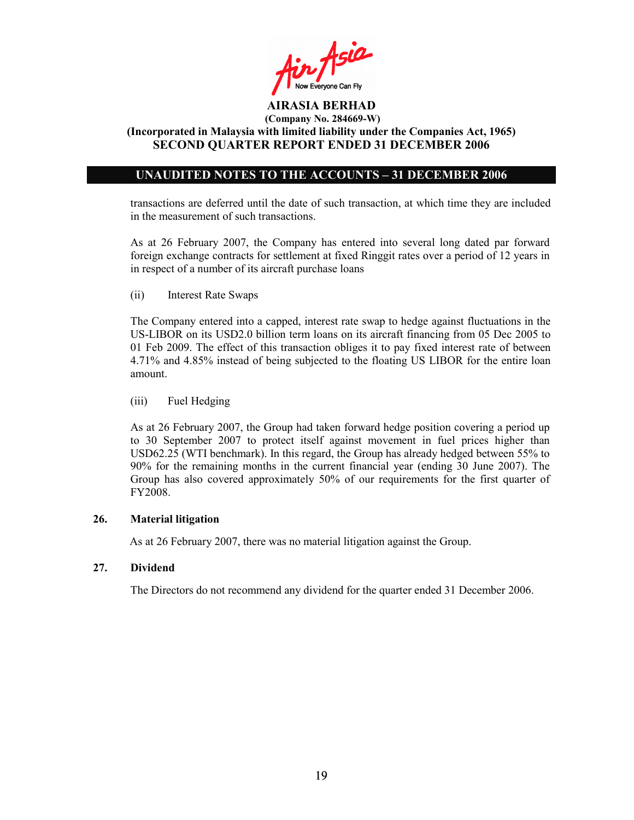

# UNAUDITED NOTES TO THE ACCOUNTS – 31 DECEMBER 2006

transactions are deferred until the date of such transaction, at which time they are included in the measurement of such transactions.

As at 26 February 2007, the Company has entered into several long dated par forward foreign exchange contracts for settlement at fixed Ringgit rates over a period of 12 years in in respect of a number of its aircraft purchase loans

(ii) Interest Rate Swaps

The Company entered into a capped, interest rate swap to hedge against fluctuations in the US-LIBOR on its USD2.0 billion term loans on its aircraft financing from 05 Dec 2005 to 01 Feb 2009. The effect of this transaction obliges it to pay fixed interest rate of between 4.71% and 4.85% instead of being subjected to the floating US LIBOR for the entire loan amount.

# (iii) Fuel Hedging

As at 26 February 2007, the Group had taken forward hedge position covering a period up to 30 September 2007 to protect itself against movement in fuel prices higher than USD62.25 (WTI benchmark). In this regard, the Group has already hedged between 55% to 90% for the remaining months in the current financial year (ending 30 June 2007). The Group has also covered approximately 50% of our requirements for the first quarter of FY2008.

# 26. Material litigation

As at 26 February 2007, there was no material litigation against the Group.

# 27. Dividend

The Directors do not recommend any dividend for the quarter ended 31 December 2006.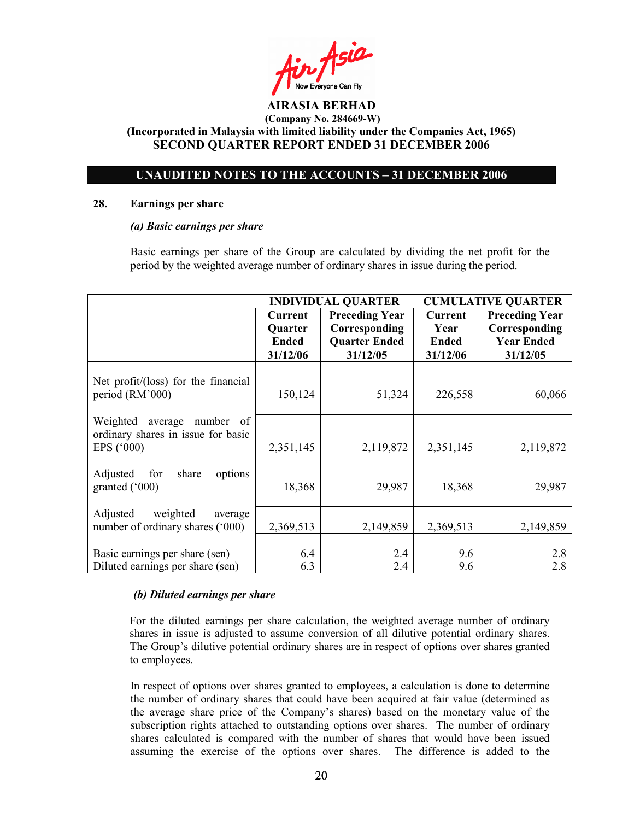Fin Asia

# UNAUDITED NOTES TO THE ACCOUNTS – 31 DECEMBER 2006

#### 28. Earnings per share

### (a) Basic earnings per share

 Basic earnings per share of the Group are calculated by dividing the net profit for the period by the weighted average number of ordinary shares in issue during the period.

|                                                                                | <b>INDIVIDUAL QUARTER</b> |                       | <b>CUMULATIVE QUARTER</b> |                       |
|--------------------------------------------------------------------------------|---------------------------|-----------------------|---------------------------|-----------------------|
|                                                                                | <b>Current</b>            | <b>Preceding Year</b> | Current                   | <b>Preceding Year</b> |
|                                                                                | <b>Quarter</b>            | Corresponding         | Year                      | Corresponding         |
|                                                                                | <b>Ended</b>              | <b>Quarter Ended</b>  | <b>Ended</b>              | <b>Year Ended</b>     |
|                                                                                | 31/12/06                  | 31/12/05              | 31/12/06                  | 31/12/05              |
| Net profit/(loss) for the financial<br>period (RM'000)                         | 150,124                   | 51,324                | 226,558                   | 60,066                |
| Weighted average number of<br>ordinary shares in issue for basic<br>EPS ('000) | 2,351,145                 | 2,119,872             | 2,351,145                 | 2,119,872             |
| Adjusted for<br>share<br>options<br>granted $(^{\circ}000)$                    | 18,368                    | 29,987                | 18,368                    | 29,987                |
| Adjusted<br>weighted<br>average<br>number of ordinary shares ('000)            | 2,369,513                 | 2,149,859             | 2,369,513                 | 2,149,859             |
| Basic earnings per share (sen)<br>Diluted earnings per share (sen)             | 6.4<br>6.3                | 2.4<br>2.4            | 9.6<br>9.6                | 2.8<br>2.8            |

# (b) Diluted earnings per share

For the diluted earnings per share calculation, the weighted average number of ordinary shares in issue is adjusted to assume conversion of all dilutive potential ordinary shares. The Group's dilutive potential ordinary shares are in respect of options over shares granted to employees.

 In respect of options over shares granted to employees, a calculation is done to determine the number of ordinary shares that could have been acquired at fair value (determined as the average share price of the Company's shares) based on the monetary value of the subscription rights attached to outstanding options over shares. The number of ordinary shares calculated is compared with the number of shares that would have been issued assuming the exercise of the options over shares. The difference is added to the